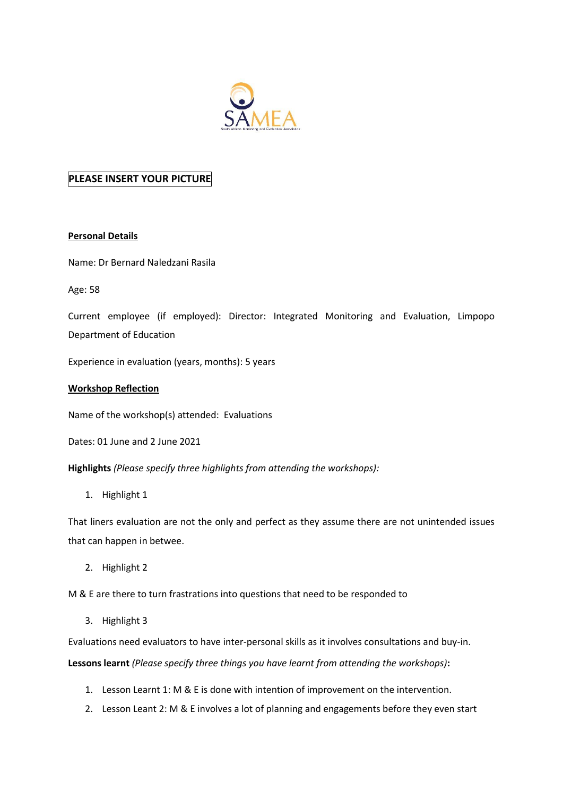

## **PLEASE INSERT YOUR PICTURE**

## **Personal Details**

Name: Dr Bernard Naledzani Rasila

Age: 58

Current employee (if employed): Director: Integrated Monitoring and Evaluation, Limpopo Department of Education

Experience in evaluation (years, months): 5 years

## **Workshop Reflection**

Name of the workshop(s) attended: Evaluations

Dates: 01 June and 2 June 2021

**Highlights** *(Please specify three highlights from attending the workshops):*

1. Highlight 1

That liners evaluation are not the only and perfect as they assume there are not unintended issues that can happen in betwee.

2. Highlight 2

M & E are there to turn frastrations into questions that need to be responded to

3. Highlight 3

Evaluations need evaluators to have inter-personal skills as it involves consultations and buy-in.

**Lessons learnt** *(Please specify three things you have learnt from attending the workshops)***:** 

- 1. Lesson Learnt 1: M & E is done with intention of improvement on the intervention.
- 2. Lesson Leant 2: M & E involves a lot of planning and engagements before they even start